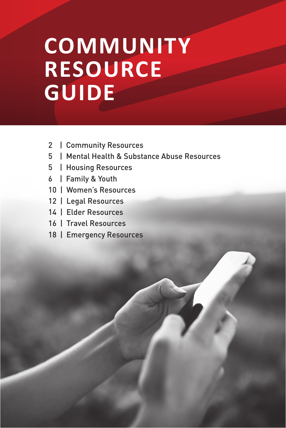# **COMMUNITY COMMUNITY RESOURCE RESOURCE GUIDE GUIDE**

- 2 | Community Resources
- 5 | Mental Health & Substance Abuse Resources
- 5 | Housing Resources
- 6 | Family & Youth
- 10 | Women's Resources
- 12 | Legal Resources
- 14 | Elder Resources
- 16 | Travel Resources
- 18 | Emergency Resources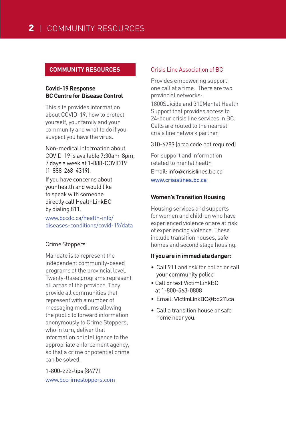## **COMMUNITY RESOURCES**

# **Covid-19 Response BC Centre for Disease Control**

This site provides information about COVID-19, how to protect yourself, your family and your community and what to do if you suspect you have the virus.

Non-medical information about COVID-19 is available 7:30am-8pm, 7 days a week at 1-888-COVID19 (1-888-268-4319).

If you have concerns about your health and would like to speak with someone directly call HealthLinkBC by dialing 811.

www.bccdc.ca/health-info/ diseases-conditions/covid-19/data

# Crime Stoppers

Mandate is to represent the independent community-based programs at the provincial level. Twenty-three programs represent all areas of the province. They provide all communities that represent with a number of messaging mediums allowing the public to forward information anonymously to Crime Stoppers, who in turn, deliver that information or intelligence to the appropriate enforcement agency, so that a crime or potential crime can be solved.

1-800-222-tips (8477) www.bccrimestoppers.com

# Crisis Line Association of BC

Provides empowering support one call at a time. There are two provincial networks: 1800Suicide and 310Mental Health Support that provides access to 24-hour crisis line services in BC. Calls are routed to the nearest crisis line network partner.

#### 310-6789 (area code not required)

For support and information related to mental health Email: info@crisislines.bc.ca www.crisislines.bc.ca

# **Women's Transition Housing**

Housing services and supports for women and children who have experienced violence or are at risk of experiencing violence. These include transition houses, safe homes and second stage housing.

#### **If you are in immediate danger:**

- Call 911 and ask for police or call your community police
- Call or text VictimLinkBC at 1-800-563-0808
- Email: VictimLinkBC@bc211.ca
- Call a transition house or safe home near you.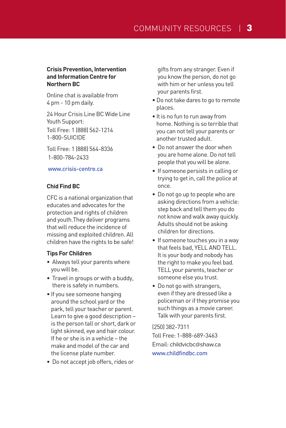## **Crisis Prevention, Intervention and Information Centre for Northern BC**

Online chat is available from 4 pm - 10 pm daily.

24 Hour Crisis Line BC Wide Line Youth Support: Toll Free: 1 (888) 562-1214 1-800-SUICIDE

Toll Free: 1 (888) 564-8336 1-800-784-2433

#### www.crisis-centre.ca

# **Chid Find BC**

CFC is a national organization that educates and advocates for the protection and rights of children and youth.They deliver programs that will reduce the incidence of missing and exploited children. All children have the rights to be safe!

# **Tips For Children**

- Always tell your parents where you will be.
- Travel in groups or with a buddy, there is safety in numbers.
- If you see someone hanging around the school yard or the park, tell your teacher or parent. Learn to give a good description – is the person tall or short, dark or light skinned, eye and hair colour. If he or she is in a vehicle – the make and model of the car and the license plate number.
- Do not accept job offers, rides or

gifts from any stranger. Even if you know the person, do not go with him or her unless you tell your parents first.

- Do not take dares to go to remote places.
- It is no fun to run away from home. Nothing is so terrible that you can not tell your parents or another trusted adult.
- Do not answer the door when you are home alone. Do not tell people that you will be alone.
- If someone persists in calling or trying to get in, call the police at once.
- Do not go up to people who are asking directions from a vehicle: step back and tell them you do not know and walk away quickly. Adults should not be asking children for directions.
- If someone touches you in a way that feels bad, YELL AND TELL. It is your body and nobody has the right to make you feel bad. TELL your parents, teacher or someone else you trust.
- Do not go with strangers, even if they are dressed like a policeman or if they promise you such things as a movie career. Talk with your parents first.

(250) 382-7311 Toll Free: 1-888-689-3463 Email: childvicbc@shaw.ca www.childfindbc.com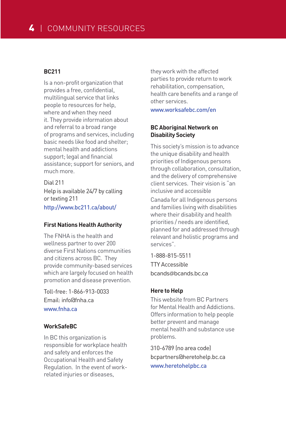# **BC211**

Is a non-profit organization that provides a free, confidential, multilingual service that links people to resources for help, where and when they need it. They provide information about and referral to a broad range of programs and services, including basic needs like food and shelter; mental health and addictions support: legal and financial assistance; support for seniors, and much more.

Dial 211 Help is available 24/7 by calling or texting 211 http://www.bc211.ca/about/

# **First Nations Health Authority**

The FNHA is the health and wellness partner to over 200 diverse First Nations communities and citizens across BC. They provide community-based services which are largely focused on health promotion and disease prevention.

Toll-free: 1-866-913-0033 Email: info@fnha.ca www.fnha.ca

# **WorkSafeBC**

In BC this organization is responsible for workplace health and safety and enforces the Occupational Health and Safety Regulation. In the event of workrelated injuries or diseases,

they work with the affected parties to provide return to work rehabilitation, compensation, health care benefits and a range of other services.

www.worksafebc.com/en

# **BC Aboriginal Network on Disability Society**

This society's mission is to advance the unique disability and health priorities of Indigenous persons through collaboration, consultation, and the delivery of comprehensive client services. Their vision is "an inclusive and accessible Canada for all Indigenous persons and families living with disabilities where their disability and health priorities / needs are identified, planned for and addressed through relevant and holistic programs and services".

1-888-815-5511 TTY Accessible bcands@bcands.bc.ca

# **Here to Help**

This website from BC Partners for Mental Health and Addictions. Offers information to help people better prevent and manage mental health and substance use problems.

310-6789 (no area code) bcpartners@heretohelp.bc.ca www.heretohelpbc.ca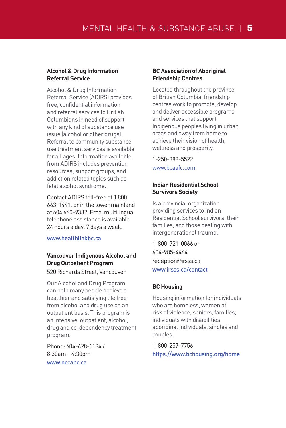#### **Alcohol & Drug Information Referral Service**

Alcohol & Drug Information Referral Service (ADIRS) provides free, confidential information and referral services to British Columbians in need of support with any kind of substance use issue (alcohol or other drugs). Referral to community substance use treatment services is available for all ages. Information available from ADIRS includes prevention resources, support groups, and addiction related topics such as fetal alcohol syndrome.

Contact ADIRS toll-free at 1 800 663-1441, or in the lower mainland at 604 660-9382. Free, multilingual telephone assistance is available 24 hours a day, 7 days a week.

www.healthlinkhc.ca

# **Vancouver Indigenous Alcohol and Drug Outpatient Program**

520 Richards Street, Vancouver

Our Alcohol and Drug Program can help many people achieve a healthier and satisfying life free from alcohol and drug use on an outpatient basis. This program is an intensive, outpatient, alcohol, drug and co-dependency treatment program.

Phone: 604-628-1134 / 8:30am—4:30pm www.nccabc.ca

# **BC Association of Aboriginal Friendship Centres**

Located throughout the province of British Columbia, friendship centres work to promote, develop and deliver accessible programs and services that support Indigenous peoples living in urban areas and away from home to achieve their vision of health, wellness and prosperity.

1-250-388-5522 www.bcaafc.com

# **Indian Residential School Survivors Society**

Is a provincial organization providing services to Indian Residential School survivors, their families, and those dealing with intergenerational trauma.

1-800-721-0066 or 604-985-4464 reception@irsss.ca www.irsss.ca/contact

# **BC Housing**

Housing information for individuals who are homeless, women at risk of violence, seniors, families, individuals with disabilities, aboriginal individuals, singles and couples.

1-800-257-7756 https://www.bchousing.org/home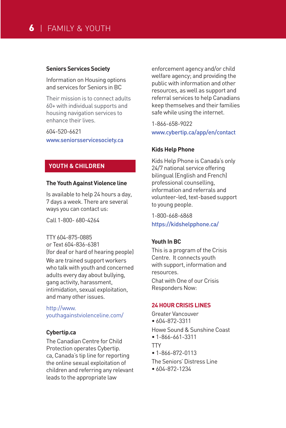# 6 | FAMILY & YOUTH

#### **Seniors Services Society**

Information on Housing options and services for Seniors in BC

Their mission is to connect adults 60+ with individual supports and housing navigation services to enhance their lives.

604-520-6621 www.seniorsservicesociety.ca

# **YOUTH & CHILDREN**

#### **The Youth Against Violence line**

Is available to help 24 hours a day, 7 days a week. There are several ways you can contact us:

Call 1-800- 680-4264

#### TTY 604-875-0885

or Text 604-836-6381 (for deaf or hard of hearing people) We are trained support workers who talk with youth and concerned adults every day about bullying, gang activity, harassment, intimidation, sexual exploitation, and many other issues.

http://www. youthagainstviolenceline.com/

#### **Cybertip.ca**

The Canadian Centre for Child Protection operates Cybertip. ca, Canada's tip line for reporting the online sexual exploitation of children and referring any relevant leads to the appropriate law

enforcement agency and/or child welfare agency; and providing the public with information and other resources, as well as support and referral services to help Canadians keep themselves and their families safe while using the internet.

1-866-658-9022 www.cybertip.ca/app/en/contact

#### **Kids Help Phone**

Kids Help Phone is Canada's only 24/7 national service offering bilingual (English and French) professional counselling, information and referrals and volunteer-led, text-based support to young people.

1-800-668-6868 https://kidshelpphone.ca/

#### **Youth In BC**

This is a program of the Crisis Centre. It connects youth with support, information and resources. Chat with One of our Crisis Responders Now:

#### **24 HOUR CRISIS LINES**

Greater Vancouver • 604-872-3311 Howe Sound & Sunshine Coast • 1-866-661-3311 **TTY** • 1-866-872-0113 The Seniors' Distress Line • 604-872-1234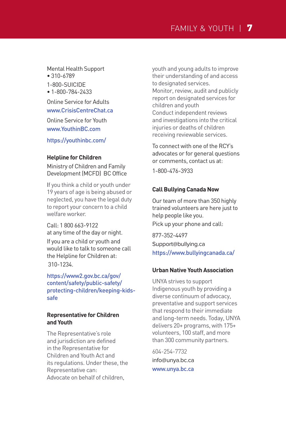Mental Health Support • 310-6789

1-800-SUICIDE

• 1-800-784-2433

Online Service for Adults www.CrisisCentreChat.ca Online Service for Youth www.YouthinBC.com

https://youthinbc.com/

# **Helpline for Children**

Ministry of Children and Family Development (MCFD) BC Office

If you think a child or youth under 19 years of age is being abused or neglected, you have the legal duty to report your concern to a child welfare worker.

Call: 1 800 663-9122 at any time of the day or night. If you are a child or youth and would like to talk to someone call the Helpline for Children at: 310-1234.

https://www2.gov.bc.ca/gov/ content/safety/public-safety/ protecting-children/keeping-kidssafe

# **Representative for Children and Youth**

The Representative's role and jurisdiction are defined in the Representative for Children and Youth Act and its regulations. Under these, the Representative can: Advocate on behalf of children,

youth and young adults to improve their understanding of and access to designated services. Monitor, review, audit and publicly report on designated services for children and youth Conduct independent reviews and investigations into the critical injuries or deaths of children receiving reviewable services.

To connect with one of the RCY's advocates or for general questions or comments, contact us at:

1-800-476-3933

# **Call Bullying Canada Now**

Our team of more than 350 highly trained volunteers are here just to help people like you.

Pick up your phone and call:

877-352-4497 Support@bullying.ca https://www.bullyingcanada.ca/

# **Urban Native Youth Association**

UNYA strives to support Indigenous youth by providing a diverse continuum of advocacy, preventative and support services that respond to their immediate and long-term needs. Today, UNYA delivers 20+ programs, with 175+ volunteers, 100 staff, and more than 300 community partners.

604-254-7732 info@unya.bc.ca www.unya.bc.ca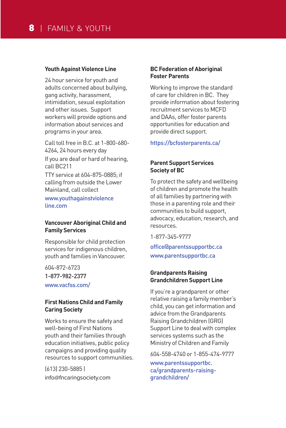#### **Youth Against Violence Line**

24 hour service for youth and adults concerned about bullying, gang activity, harassment, intimidation, sexual exploitation and other issues. Support workers will provide options and information about services and programs in your area.

Call toll free in B.C. at 1-800-680- 4264, 24 hours every day If you are deaf or hard of hearing, call BC211 TTY service at 604-875-0885; if

calling from outside the Lower Mainland, call collect

www.youthagainstviolence line.com

#### **Vancouver Aboriginal Child and Family Services**

Responsible for child protection services for indigenous children, youth and families in Vancouver.

604-872-6723 1-877-982-2377 www.vacfss.com/

#### **First Nations Child and Family Caring Society**

Works to ensure the safety and well-being of First Nations youth and their families through education initiatives, public policy campaigns and providing quality resources to support communities.

(613) 230-5885 | info@fncaringsociety.com

# **BC Federation of Aboriginal Foster Parents**

Working to improve the standard of care for children in BC. They provide information about fostering recruitment services to MCFD and DAAs, offer foster parents opportunities for education and provide direct support.

#### https://bcfosterparents.ca/

# **Parent Support Services Society of BC**

To protect the safety and wellbeing of children and promote the health of all families by partnering with those in a parenting role and their communities to build support, advocacy, education, research, and resources.

1-877-345-9777

office@parentssupportbc.ca www.parentsupportbc.ca

# **Grandparents Raising Grandchildren Support Line**

If you're a grandparent or other relative raising a family member's child, you can get information and advice from the Grandparents Raising Grandchildren (GRG) Support Line to deal with complex services systems such as the Ministry of Children and Family

604-558-4740 or 1-855-474-9777 www.parentssupportbc. ca/grandparents-raisinggrandchildren/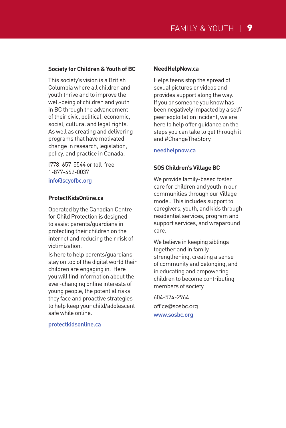## **Society for Children & Youth of BC**

This society's vision is a British Columbia where all children and youth thrive and to improve the well-being of children and youth in BC through the advancement of their civic, political, economic, social, cultural and legal rights. As well as creating and delivering programs that have motivated change in research, legislation, policy, and practice in Canada.

(778) 657-5544 or toll-free 1-877-462-0037 info@scyofbc.org

#### **ProtectKidsOnline.ca**

Operated by the Canadian Centre for Child Protection is designed to assist parents/guardians in protecting their children on the internet and reducing their risk of victimization.

Is here to help parents/guardians stay on top of the digital world their children are engaging in. Here you will find information about the ever-changing online interests of young people, the potential risks they face and proactive strategies to help keep your child/adolescent safe while online.

#### **NeedHelpNow.ca**

Helps teens stop the spread of sexual pictures or videos and provides support along the way. If you or someone you know has been negatively impacted by a self/ peer exploitation incident, we are here to help offer guidance on the steps you can take to get through it and #ChangeTheStory.

#### needhelpnow.ca

#### **SOS Children's Village BC**

We provide family-based foster care for children and youth in our communities through our Village model. This includes support to caregivers, youth, and kids through residential services, program and support services, and wraparound care.

We believe in keeping siblings together and in family strengthening, creating a sense of community and belonging, and in educating and empowering children to become contributing members of society.

604-574-2964 office@sosbc.org www.sosbc.org

protectkidsonline.ca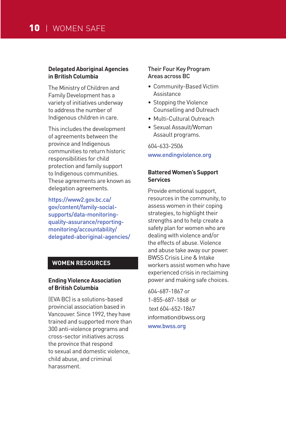#### **Delegated Aboriginal Agencies in British Columbia**

The Ministry of Children and Family Development has a variety of initiatives underway to address the number of Indigenous children in care.

This includes the development of agreements between the province and Indigenous communities to return historic responsibilities for child protection and family support to Indigenous communities. These agreements are known as delegation agreements.

https://www2.gov.bc.ca/ gov/content/family-socialsupports/data-monitoringquality-assurance/reportingmonitoring/accountability/ delegated-aboriginal-agencies/

# **WOMEN RESOURCES**

#### **Ending Violence Association of British Columbia**

(EVA BC) is a solutions-based provincial association based in Vancouver. Since 1992, they have trained and supported more than 300 anti-violence programs and cross-sector initiatives across the province that respond to sexual and domestic violence, child abuse, and criminal harassment.

#### Their Four Key Program Areas across BC

- Community-Based Victim Assistance
- Stopping the Violence Counselling and Outreach
- Multi-Cultural Outreach
- Sexual Assault/Woman Assault programs.

# 604-633-2506 www.endingviolence.org

## **Battered Women's Support Services**

Provide emotional support, resources in the community, to assess women in their coping strategies, to highlight their strengths and to help create a safety plan for women who are dealing with violence and/or the effects of abuse. Violence and abuse take away our power. BWSS Crisis Line & Intake workers assist women who have experienced crisis in reclaiming power and making safe choices.

604-687-1867 or 1-855-687-1868 or text 604-652-1867 information@bwss.org www.bwss.org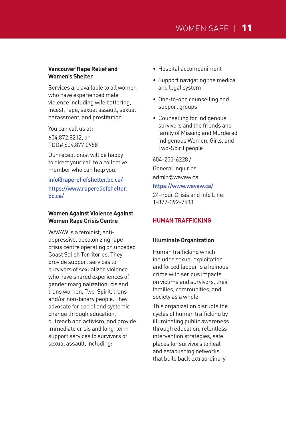#### **Vancouver Rape Relief and Women's Shelter**

Services are available to all women who have experienced male violence including wife battering, incest, rape, sexual assault, sexual harassment, and prostitution.

You can call us at: 604.872.8212, or TDD# 604.877.0958

Our receptionist will be happy to direct your call to a collective member who can help you.

info@rapereliefshelter.bc.ca/ https://www.rapereliefshelter. bc.ca/

## **Women Against Violence Against Women Rape Crisis Centre**

WAVAW is a feminist, antioppressive, decolonizing rape crisis centre operating on unceded Coast Salish Territories. They provide support services to survivors of sexualized violence who have shared experiences of gender marginalization: cis and trans women, Two-Spirit, trans and/or non-binary people. They advocate for social and systemic change through education, outreach and activism, and provide immediate crisis and long-term support services to survivors of sexual assault, including:

- Hospital accompaniment
- Support navigating the medical and legal system
- One-to-one counselling and support groups
- Counselling for Indigenous survivors and the friends and family of Missing and Murdered Indigenous Women, Girls, and Two-Spirit people

604-255-6228 / General inquiries

admin@wavaw.ca

# https://www.wavaw.ca/

24-hour Crisis and Info Line: 1-877-392-7583

#### **HUMAN TRAFFICKING**

#### **Illuminate Organization**

Human trafficking which includes sexual exploitation and forced labour is a heinous crime with serious impacts on victims and survivors, their families, communities, and society as a whole.

This organization disrupts the cycles of human trafficking by illuminating public awareness through education, relentless intervention strategies, safe places for survivors to heal and establishing networks that build back extraordinary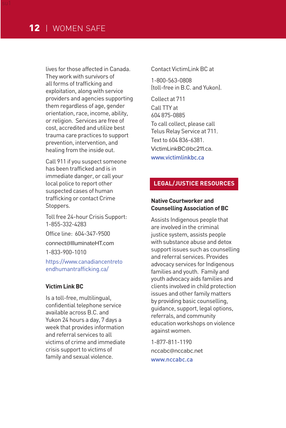lives for those affected in Canada. They work with survivors of all forms of trafficking and exploitation, along with service providers and agencies supporting them regardless of age, gender orientation, race, income, ability, or religion. Services are free of cost, accredited and utilize best trauma care practices to support prevention, intervention, and healing from the inside out.

Call 911 if you suspect someone has been trafficked and is in immediate danger, or call your local police to report other suspected cases of human trafficking or contact Crime Stoppers.

Toll free 24-hour Crisis Support: 1-855-332-4283 Office line: 604-347-9500 connect@IlluminateHT.com 1-833-900-1010

https://www.canadiancentreto endhumantrafficking.ca/

#### **Victim Link BC**

Is a toll-free, multilingual, confidential telephone service available across B.C. and Yukon 24 hours a day, 7 days a week that provides information and referral services to all victims of crime and immediate crisis support to victims of family and sexual violence.

Contact VictimLink BC at

1-800-563-0808 (toll-free in B.C. and Yukon).

Collect at 711 Call TTY at 604 875-0885 To call collect, please call Telus Relay Service at 711. Text to 604 836-6381. VictimLinkBC@bc211.ca. www.victimlinkhc.ca

# **LEGAL/JUSTICE RESOURCES**

# **Native Courtworker and Counselling Association of BC**

Assists Indigenous people that are involved in the criminal justice system, assists people with substance abuse and detox support issues such as counselling and referral services. Provides advocacy services for Indigenous families and youth. Family and youth advocacy aids families and clients involved in child protection issues and other family matters by providing basic counselling, guidance, support, legal options, referrals, and community education workshops on violence against women.

1-877-811-1190 nccabc@nccabc.net www.nccabc.ca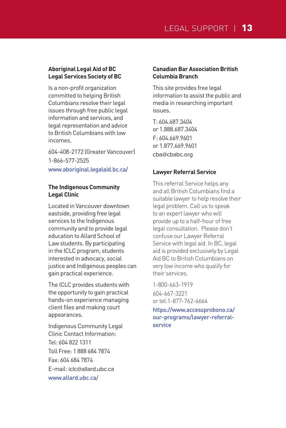# **Aboriginal Legal Aid of BC Legal Services Society of BC**

Is a non-profit organization committed to helping British Columbians resolve their legal issues through free public legal information and services, and legal representation and advice to British Columbians with low incomes.

604-408-2172 (Greater Vancouver) 1-866-577-2525 www.aboriginal.legalaid.bc.ca/

# **The Indigenous Community Legal Clinic**

Located in Vancouver downtown eastside, providing free legal services to the Indigenous community and to provide legal education to Allard School of Law students. By participating in the ICLC program, students interested in advocacy, social justice and Indigenous peoples can gain practical experience.

The ICLC provides students with the opportunity to gain practical hands-on experience managing client files and making court appearances.

Indigenous Community Legal Clinic Contact Information: Tel: 604 822 1311 Toll Free: 1 888 684 7874 Fax: 604 684 7874 E-mail: iclc@allard.ubc.ca www.allard.ubc.ca/

# **Canadian Bar Association British Columbia Branch**

This site provides free legal information to assist the public and media in researching important issues.

T: 604.687.3404 or 1.888.687.3404 F: 604.669.9601 or 1.877.669.9601 cba@cbabc.org

# **Lawyer Referral Service**

This referral Service helps any and all British Columbians find a suitable lawyer to help resolve their legal problem. Call us to speak to an expert lawyer who will provide up to a half-hour of free legal consultation. Please don't confuse our Lawyer Referral Service with legal aid. In BC, legal aid is provided exclusively by Legal Aid BC to British Columbians on very low income who qualify for their services.

1-800-663-1919

604-667-3221 or tel:1-877-762-6664

https://www.accessprobono.ca/ our-programs/lawyer-referralservice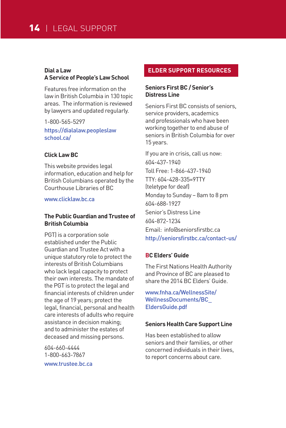# **Dial a Law A Service of People's Law School**

Features free information on the law in British Columbia in 130 topic areas. The information is reviewed by lawyers and updated regularly.

1-800-565-5297 https://dialalaw.peopleslaw school.ca/

#### **Click Law BC**

This website provides legal information, education and help for British Columbians operated by the Courthouse Libraries of BC

www.clicklaw.bc.ca

# **The Public Guardian and Trustee of British Columbia**

PGT) is a corporation sole established under the Public Guardian and Trustee Act with a unique statutory role to protect the interests of British Columbians who lack legal capacity to protect their own interests. The mandate of the PGT is to protect the legal and financial interests of children under the age of 19 years; protect the legal, financial, personal and health care interests of adults who require assistance in decision making; and to administer the estates of deceased and missing persons.

604-660-4444 1-800-663-7867 www.trustee.bc.ca

## **ELDER SUPPORT RESOURCES**

## **Seniors First BC / Senior's Distress Line**

Seniors First BC consists of seniors, service providers, academics and professionals who have been working together to end abuse of seniors in British Columbia for over 15 years.

If you are in crisis, call us now: 604-437-1940 Toll Free: 1-866-437-1940 TTY: 604-428-335=9TTY (teletype for deaf) Monday to Sunday – 8am to 8 pm 604-688-1927 Senior's Distress Line 604-872-1234 Email: info@seniorsfirstbc.ca http://seniorsfirstbc.ca/contact-us/

#### **BC Elders' Guide**

The First Nations Health Authority and Province of BC are pleased to share the 2014 BC Elders' Guide.

www.fnha.ca/WellnessSite/ WellnessDocuments/BC\_ EldersGuide.pdf

#### **Seniors Health Care Support Line**

Has been established to allow seniors and their families, or other concerned individuals in their lives, to report concerns about care.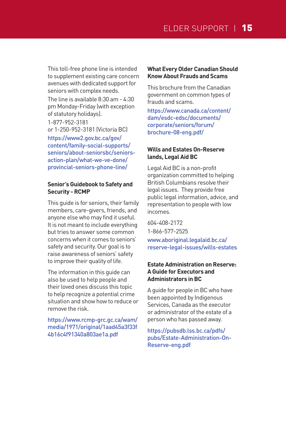This toll-free phone line is intended to supplement existing care concern avenues with dedicated support for seniors with complex needs.

The line is available 8:30 am - 4:30 pm Monday-Friday (with exception of statutory holidays). 1-877-952-3181 or 1-250-952-3181 (Victoria BC)

https://www2.gov.bc.ca/gov/ content/family-social-supports/ seniors/about-seniorsbc/seniorsaction-plan/what-we-ve-done/ provincial-seniors-phone-line/

#### **Senior's Guidebook to Safety and Security - RCMP**

This guide is for seniors, their family members, care-givers, friends, and anyone else who may find it useful. It is not meant to include everything but tries to answer some common concerns when it comes to seniors' safety and security. Our goal is to raise awareness of seniors' safety to improve their quality of life.

The information in this guide can also be used to help people and their loved ones discuss this topic to help recognize a potential crime situation and show how to reduce or remove the risk.

https://www.rcmp-grc.gc.ca/wam/ media/1971/original/1aad45a3f33f 4b16c4f91340a803ae1a.pdf

# **What Every Older Canadian Should Know About Frauds and Scams**

This brochure from the Canadian government on common types of frauds and scams.

https://www.canada.ca/content/ dam/esdc-edsc/documents/ corporate/seniors/forum/ brochure-08-eng.pdf/

# **Wills and Estates On-Reserve lands, Legal Aid BC**

Legal Aid BC is a non-profit organization committed to helping British Columbians resolve their legal issues. They provide free public legal information, advice, and representation to people with low incomes.

604-408-2172 1-866-577-2525 www.aboriginal.legalaid.bc.ca/ reserve-legal-issues/wills-estates

# **Estate Administration on Reserve: A Guide for Executors and Administrators in BC**

A guide for people in BC who have been appointed by Indigenous Services, Canada as the executor or administrator of the estate of a person who has passed away.

https://pubsdb.lss.bc.ca/pdfs/ pubs/Estate-Administration-On-Reserve-eng.pdf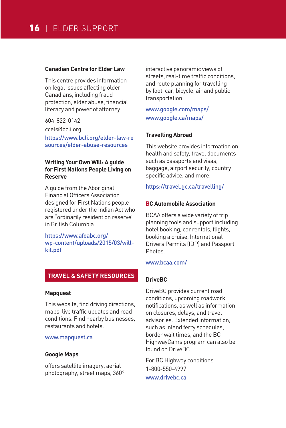#### **Canadian Centre for Elder Law**

This centre provides information on legal issues affecting older Canadians, including fraud protection, elder abuse, financial literacy and power of attorney.

604-822-0142 ccels@bcli.org https://www.bcli.org/elder-law-re sources/elder-abuse-resources

# **Writing Your Own Will: A guide for First Nations People Living on Reserve**

A guide from the Aboriginal Financial Officers Association designed for First Nations people registered under the Indian Act who are "ordinarily resident on reserve" in British Columbia

https://www.afoabc.org/ wp-content/uploads/2015/03/willkit.pdf

# **TRAVEL & SAFETY RESOURCES**

#### **Mapquest**

This website, find driving directions, maps, live traffic updates and road conditions. Find nearby businesses, restaurants and hotels.

#### www.mapquest.ca

#### **Google Maps**

offers satellite imagery, aerial photography, street maps, 360° interactive panoramic views of streets, real-time traffic conditions, and route planning for travelling by foot, car, bicycle, air and public transportation.

www.google.com/maps/ www.google.ca/maps/

#### **Travelling Abroad**

This website provides information on health and safety, travel documents such as passports and visas, baggage, airport security, country specific advice, and more.

#### https://travel.gc.ca/travelling/

#### **BC Automobile Association**

BCAA offers a wide variety of trip planning tools and support including hotel booking, car rentals, flights, booking a cruise, International Drivers Permits (IDP) and Passport Photos.

www.bcaa.com/

# **DriveBC**

DriveBC provides current road conditions, upcoming roadwork notifications, as well as information on closures, delays, and travel advisories. Extended information, such as inland ferry schedules, border wait times, and the BC HighwayCams program can also be found on DriveBC.

For BC Highway conditions 1-800-550-4997 www.drivebc.ca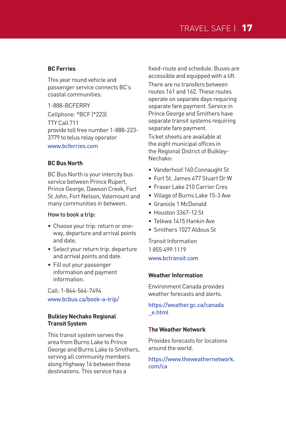# **BC Ferries**

This year round vehicle and passenger service connects BC's coastal communities.

1-888-BCFERRY Cellphone: \*BCF (\*223) TTY Call 711 provide toll free number 1-888-223- 3779 to telus relay operator www.bcferries.com

#### **BC Bus North**

BC Bus North is your intercity bus service between Prince Rupert, Prince George, Dawson Creek, Fort St John, Fort Nelson, Valemount and many communities in between.

#### How to book a trip:

- Choose your trip: return or oneway, departure and arrival points and date.
- Select your return trip: departure and arrival points and date.
- Fill out your passenger information and payment information.

Call: 1-844-564-7494 www.bcbus.ca/book-a-trip/

# **Bulkley Nechako Regional Transit System**

This transit system serves the area from Burns Lake to Prince George and Burns Lake to Smithers, serving all community members along Highway 16 between these destinations. This service has a

fixed-route and schedule. Buses are accessible and equipped with a lift.

There are no transfers between routes 161 and 162. These routes operate on separate days requiring separate fare payment. Service in Prince George and Smithers have separate transit systems requiring separate fare payment.

Ticket sheets are available at the eight municipal offices in the Regional District of Bulkley-Nechako:

- Vanderhoof 160 Connaught St
- Fort St. James 477 Stuart Dr W
- Fraser Lake 210 Carrier Cres
- Village of Burns Lake 15-3 Ave
- Granisle 1 McDonald
- Houston 3367-12 St
- Telkwa 1415 Hankin Ave
- Smithers 1027 Aldous St

Transit Information 1·855·499·1119 www.bctransit.com

#### **Weather Information**

Environment Canada provides weather forecasts and alerts.

https://weather.gc.ca/canada \_e.html

#### **The Weather Network**

Provides forecasts for locations around the world.

https://www.theweathernetwork. com/ca